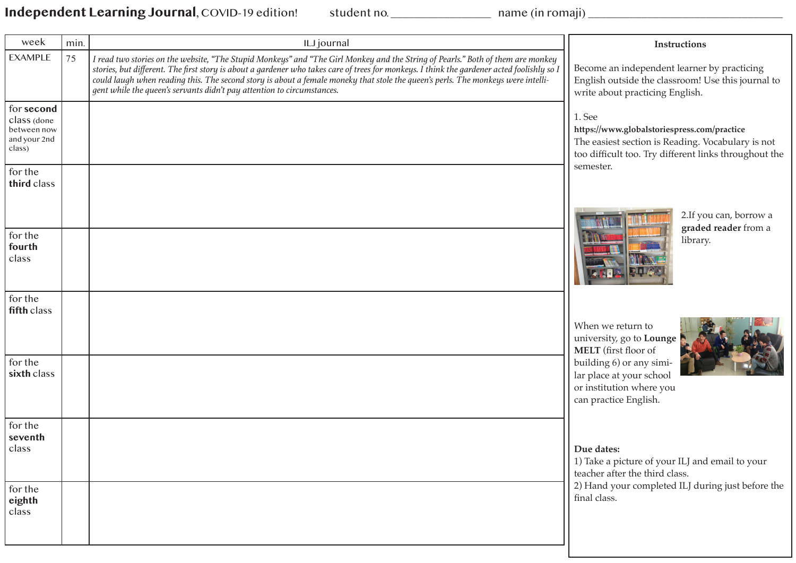Independent Learning Journal, COVID-19 edition! student no. \_\_\_\_\_\_\_\_\_\_\_\_\_\_\_ name (in romaji) \_\_\_\_\_\_\_\_\_\_\_\_\_\_\_\_\_\_\_

| week                                                               | min. | ILJ journal                                                                                                                                                                                                                                                                                                                                                                                                                                                                                 | Instructions                                                                                                                                                        |
|--------------------------------------------------------------------|------|---------------------------------------------------------------------------------------------------------------------------------------------------------------------------------------------------------------------------------------------------------------------------------------------------------------------------------------------------------------------------------------------------------------------------------------------------------------------------------------------|---------------------------------------------------------------------------------------------------------------------------------------------------------------------|
| <b>EXAMPLE</b>                                                     | 75   | I read two stories on the website, "The Stupid Monkeys" and "The Girl Monkey and the String of Pearls." Both of them are monkey<br>stories, but different. The first story is about a gardener who takes care of trees for monkeys. I think the gardener acted foolishly so l<br>could laugh when reading this. The second story is about a female moneky that stole the queen's perls. The monkeys were intelli-<br>gent while the queen's servants didn't pay attention to circumstances. | Become an independent learner by practicing<br>English outside the classroom! Use this journal to<br>write about practicing English.                                |
| for second<br>class (done<br>between now<br>and your 2nd<br>class) |      |                                                                                                                                                                                                                                                                                                                                                                                                                                                                                             | 1. See<br>https://www.globalstoriespress.com/practice<br>The easiest section is Reading. Vocabulary is not<br>too difficult too. Try different links throughout the |
| for the<br>third class                                             |      |                                                                                                                                                                                                                                                                                                                                                                                                                                                                                             | semester.                                                                                                                                                           |
| for the<br>fourth<br>class                                         |      |                                                                                                                                                                                                                                                                                                                                                                                                                                                                                             | 2.If you can, borrow a<br>graded reader from a<br>library.                                                                                                          |
| for the<br>fifth class                                             |      |                                                                                                                                                                                                                                                                                                                                                                                                                                                                                             | When we return to<br>university, go to Lounge<br>MELT (first floor of                                                                                               |
| for the<br>sixth class                                             |      |                                                                                                                                                                                                                                                                                                                                                                                                                                                                                             | building 6) or any simi-<br>lar place at your school<br>or institution where you<br>can practice English.                                                           |
| for the<br>seventh<br>class                                        |      |                                                                                                                                                                                                                                                                                                                                                                                                                                                                                             | Due dates:<br>1) Take a picture of your ILJ and email to your<br>teacher after the third class.                                                                     |
| for the<br>eighth<br>class                                         |      |                                                                                                                                                                                                                                                                                                                                                                                                                                                                                             | 2) Hand your completed ILJ during just before the<br>final class.                                                                                                   |